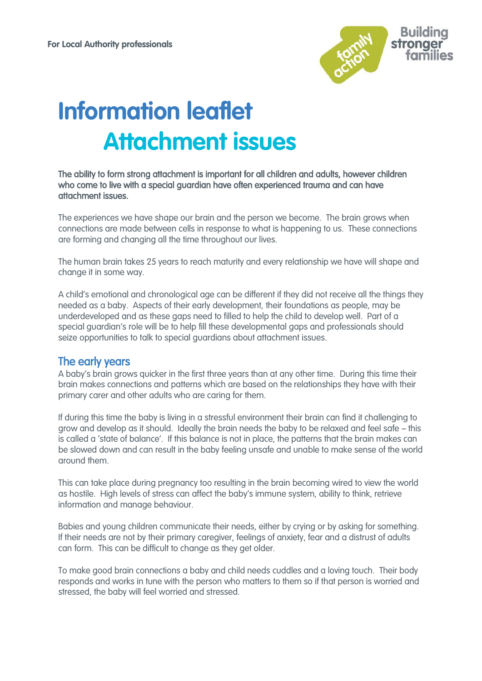

# **Information leaflet Attachment issues**

#### The ability to form strong attachment is important for all children and adults, however children who come to live with a special guardian have often experienced trauma and can have attachment issues.

The experiences we have shape our brain and the person we become. The brain grows when connections are made between cells in response to what is happening to us. These connections are forming and changing all the time throughout our lives.

The human brain takes 25 years to reach maturity and every relationship we have will shape and change it in some way.

A child's emotional and chronological age can be different if they did not receive all the things they needed as a baby. Aspects of their early development, their foundations as people, may be underdeveloped and as these gaps need to filled to help the child to develop well. Part of a special guardian's role will be to help fill these developmental gaps and professionals should seize opportunities to talk to special guardians about attachment issues.

## The early years

A baby's brain grows quicker in the first three years than at any other time. During this time their brain makes connections and patterns which are based on the relationships they have with their primary carer and other adults who are caring for them.

If during this time the baby is living in a stressful environment their brain can find it challenging to grow and develop as it should. Ideally the brain needs the baby to be relaxed and feel safe – this is called a 'state of balance'. If this balance is not in place, the patterns that the brain makes can be slowed down and can result in the baby feeling unsafe and unable to make sense of the world around them.

This can take place during pregnancy too resulting in the brain becoming wired to view the world as hostile. High levels of stress can affect the baby's immune system, ability to think, retrieve information and manage behaviour.

Babies and young children communicate their needs, either by crying or by asking for something. If their needs are not by their primary caregiver, feelings of anxiety, fear and a distrust of adults can form. This can be difficult to change as they get older.

To make good brain connections a baby and child needs cuddles and a loving touch. Their body responds and works in tune with the person who matters to them so if that person is worried and stressed, the baby will feel worried and stressed.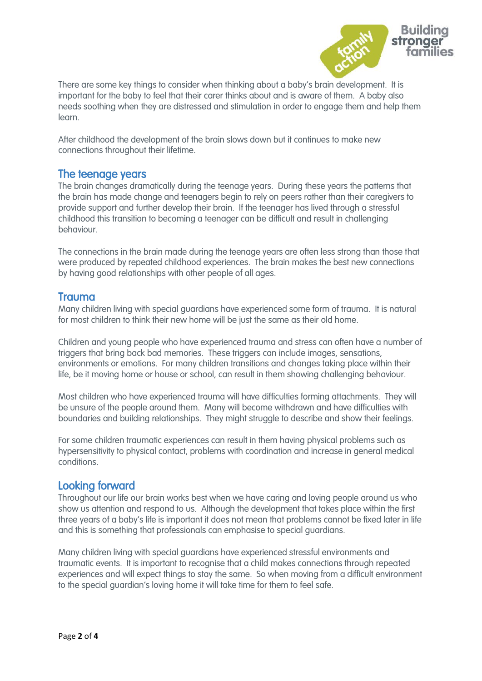

There are some key things to consider when thinking about a baby's brain development. It is important for the baby to feel that their carer thinks about and is aware of them. A baby also needs soothing when they are distressed and stimulation in order to engage them and help them learn.

After childhood the development of the brain slows down but it continues to make new connections throughout their lifetime.

## The teenage years

The brain changes dramatically during the teenage years. During these years the patterns that the brain has made change and teenagers begin to rely on peers rather than their caregivers to provide support and further develop their brain. If the teenager has lived through a stressful childhood this transition to becoming a teenager can be difficult and result in challenging behaviour.

The connections in the brain made during the teenage years are often less strong than those that were produced by repeated childhood experiences. The brain makes the best new connections by having good relationships with other people of all ages.

## Trauma

Many children living with special guardians have experienced some form of trauma. It is natural for most children to think their new home will be just the same as their old home.

Children and young people who have experienced trauma and stress can often have a number of triggers that bring back bad memories. These triggers can include images, sensations, environments or emotions. For many children transitions and changes taking place within their life, be it moving home or house or school, can result in them showing challenging behaviour.

Most children who have experienced trauma will have difficulties forming attachments. They will be unsure of the people around them. Many will become withdrawn and have difficulties with boundaries and building relationships. They might struggle to describe and show their feelings.

For some children traumatic experiences can result in them having physical problems such as hypersensitivity to physical contact, problems with coordination and increase in general medical conditions.

## Looking forward

Throughout our life our brain works best when we have caring and loving people around us who show us attention and respond to us. Although the development that takes place within the first three years of a baby's life is important it does not mean that problems cannot be fixed later in life and this is something that professionals can emphasise to special guardians.

Many children living with special guardians have experienced stressful environments and traumatic events. It is important to recognise that a child makes connections through repeated experiences and will expect things to stay the same. So when moving from a difficult environment to the special guardian's loving home it will take time for them to feel safe.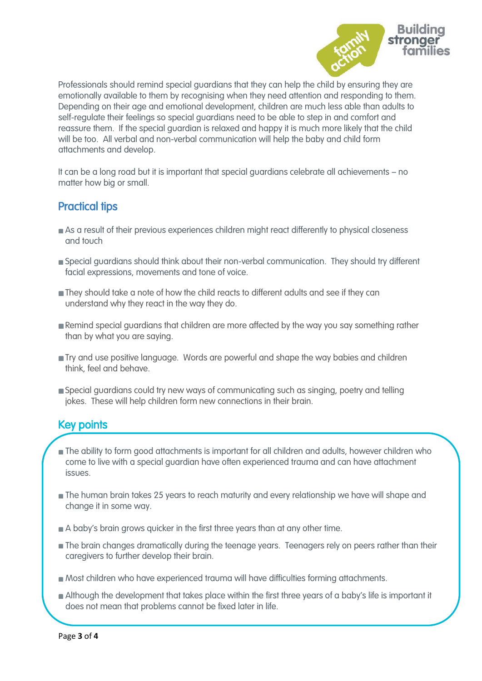

Professionals should remind special guardians that they can help the child by ensuring they are emotionally available to them by recognising when they need attention and responding to them. Depending on their age and emotional development, children are much less able than adults to self-regulate their feelings so special guardians need to be able to step in and comfort and reassure them. If the special guardian is relaxed and happy it is much more likely that the child will be too. All verbal and non-verbal communication will help the baby and child form attachments and develop.

It can be a long road but it is important that special guardians celebrate all achievements – no matter how big or small.

## Practical tips

- As a result of their previous experiences children might react differently to physical closeness and touch
- Special guardians should think about their non-verbal communication. They should try different facial expressions, movements and tone of voice.
- They should take a note of how the child reacts to different adults and see if they can understand why they react in the way they do.
- **Remind special guardians that children are more affected by the way you say something rather** than by what you are saying.
- **Try and use positive language. Words are powerful and shape the way babies and children** think, feel and behave.
- Special guardians could try new ways of communicating such as singing, poetry and telling jokes. These will help children form new connections in their brain.

## Key points

- **The ability to form good attachments is important for all children and adults, however children who** come to live with a special guardian have often experienced trauma and can have attachment issues.
- The human brain takes 25 years to reach maturity and every relationship we have will shape and change it in some way.
- A baby's brain grows quicker in the first three years than at any other time.
- **The brain changes dramatically during the teenage years. Teenagers rely on peers rather than their** caregivers to further develop their brain.
- Most children who have experienced trauma will have difficulties forming attachments.
- Although the development that takes place within the first three years of a baby's life is important it does not mean that problems cannot be fixed later in life.